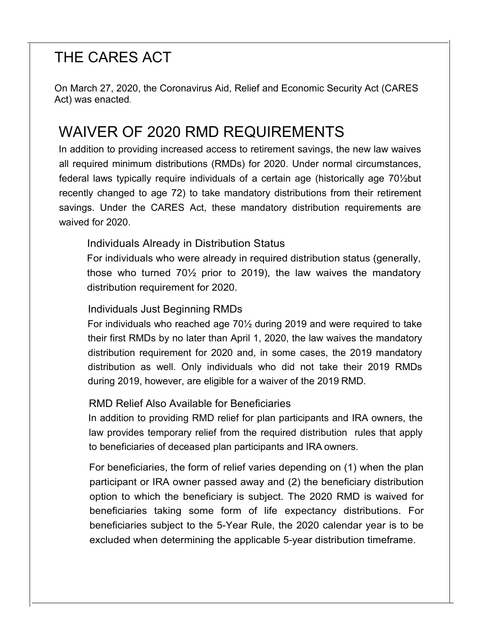# THE CARES ACT

On March 27, 2020, the Coronavirus Aid, Relief and Economic Security Act (CARES Act) was enacted.

## WAIVER OF 2020 RMD REQUIREMENTS

In addition to providing increased access to retirement savings, the new law waives all required minimum distributions (RMDs) for 2020. Under normal circumstances, federal laws typically require individuals of a certain age (historically age 70½but recently changed to age 72) to take mandatory distributions from their retirement savings. Under the CARES Act, these mandatory distribution requirements are waived for 2020.

#### Individuals Already in Distribution Status

For individuals who were already in required distribution status (generally, those who turned 70½ prior to 2019), the law waives the mandatory distribution requirement for 2020.

#### Individuals Just Beginning RMDs

For individuals who reached age 70½ during 2019 and were required to take their first RMDs by no later than April 1, 2020, the law waives the mandatory distribution requirement for 2020 and, in some cases, the 2019 mandatory distribution as well. Only individuals who did not take their 2019 RMDs during 2019, however, are eligible for a waiver of the 2019 RMD.

#### RMD Relief Also Available for Beneficiaries

In addition to providing RMD relief for plan participants and IRA owners, the law provides temporary relief from the required distribution rules that apply to beneficiaries of deceased plan participants and IRA owners.

For beneficiaries, the form of relief varies depending on (1) when the plan participant or IRA owner passed away and (2) the beneficiary distribution option to which the beneficiary is subject. The 2020 RMD is waived for beneficiaries taking some form of life expectancy distributions. For beneficiaries subject to the 5-Year Rule, the 2020 calendar year is to be excluded when determining the applicable 5-year distribution timeframe.